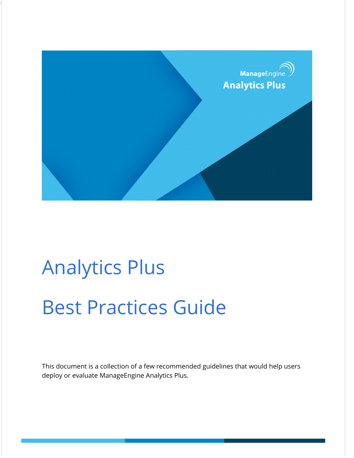

# Analytics Plus Best Practices Guide

Go to Top

This document is a collection of a few recommended guidelines that would help users deploy or evaluate ManageEngine Analytics Plus.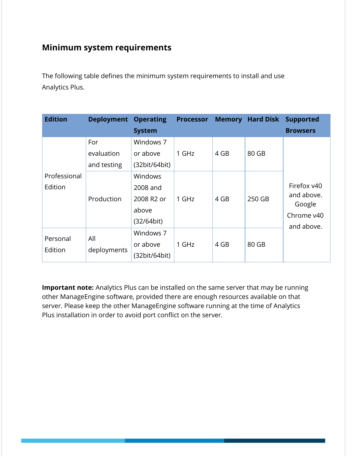## **Minimum system requirements**

The following table defines the minimum system requirements to install and use Analytics Plus.

| <b>Edition</b>          | <b>Deployment Operating</b>      | <b>System</b>                                            | <b>Processor</b> | <b>Memory</b> | <b>Hard Disk</b> | <b>Supported</b><br><b>Browsers</b>                             |  |
|-------------------------|----------------------------------|----------------------------------------------------------|------------------|---------------|------------------|-----------------------------------------------------------------|--|
|                         | For<br>evaluation<br>and testing | Windows 7<br>or above<br>(32bit/64bit)                   | 1 GHz            | 4 GB          | 80 GB            |                                                                 |  |
| Professional<br>Edition | Production                       | Windows<br>2008 and<br>2008 R2 or<br>above<br>(32/64bit) | 1 GHz            | 4 GB          | 250 GB           | Firefox v40<br>and above.<br>Google<br>Chrome v40<br>and above. |  |
| Personal<br>Edition     | All<br>deployments               | Windows 7<br>or above<br>(32bit/64bit)                   | 1 GHz            | 4 GB          | 80 GB            |                                                                 |  |

**Important note:** Analytics Plus can be installed on the same server that may be running other ManageEngine software, provided there are enough resources available on that server. Please keep the other ManageEngine software running at the time of Analytics Plus installation in order to avoid port conflict on the server.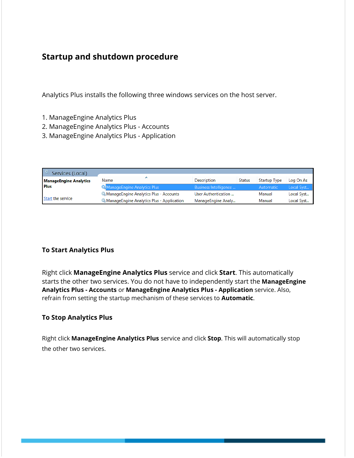## **Startup and shutdown procedure**

Analytics Plus installs the following three windows services on the host server.

- 1. ManageEngine Analytics Plus
- 2. ManageEngine Analytics Plus Accounts
- 3. ManageEngine Analytics Plus Application

| Services (Local)              |                                                  |                       |               |                     |            |
|-------------------------------|--------------------------------------------------|-----------------------|---------------|---------------------|------------|
| <b>ManageEngine Analytics</b> | ∽<br>Name                                        | <b>Description</b>    | <b>Status</b> | <b>Startup Type</b> | Log On As  |
| <b>Plus</b>                   | ManageEngine Analytics Plus                      | Business Intelligence |               | Automatic           | Local Syst |
|                               | <b>ManageEngine Analytics Plus - Accounts</b>    | User Authentication   |               | Manual              | Local Syst |
| Start the service             | <b>ManageEngine Analytics Plus - Application</b> | ManageEngine Analy    |               | Manual              | Local Syst |

#### **To Start Analytics Plus**

Right click **ManageEngine Analytics Plus** service and click **Start**. This automatically starts the other two services. You do not have to independently start the **ManageEngine Analytics Plus - Accounts** or **ManageEngine Analytics Plus - Application** service. Also, refrain from setting the startup mechanism of these services to **Automatic**.

#### **To Stop Analytics Plus**

Right click **ManageEngine Analytics Plus** service and click **Stop**. This will automatically stop the other two services.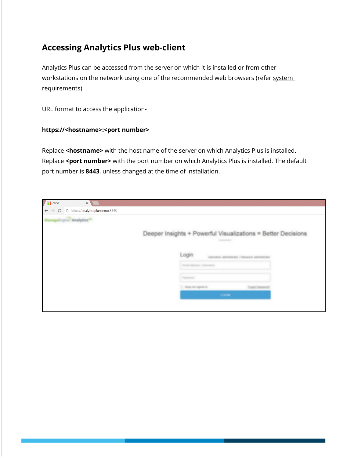## **Accessing Analytics Plus web-client**

Analytics Plus can be accessed from the server on which it is installed or from other workstations on the network using one of the recommended web browsers (refer [system](https://www.manageengine.com/analytics-plus/help/installation.html#sys) [requirements](https://www.manageengine.com/analytics-plus/help/installation.html#sys)).

URL format to access the application-

#### **https://<hostname>:<port number>**

Replace **<hostname>** with the host name of the server on which Analytics Plus is installed. Replace **<port number>** with the port number on which Analytics Plus is installed. The default port number is **8443**, unless changed at the time of installation.

| / <b>F</b> Zoho<br>$\times$ \\                                           |                                                                                                                                                                                                                                                                                                                                                                                                                                                                                                                                            |
|--------------------------------------------------------------------------|--------------------------------------------------------------------------------------------------------------------------------------------------------------------------------------------------------------------------------------------------------------------------------------------------------------------------------------------------------------------------------------------------------------------------------------------------------------------------------------------------------------------------------------------|
| $\leftarrow$ $\rightarrow$<br>https://analyticsplusdemo:8443<br>$\rm{C}$ |                                                                                                                                                                                                                                                                                                                                                                                                                                                                                                                                            |
| ManageEngine <sup>7</sup> Analytics <sup>Ac</sup>                        |                                                                                                                                                                                                                                                                                                                                                                                                                                                                                                                                            |
|                                                                          | Deeper Insights + Powerful Visualizations = Better Decisions<br>$\frac{1}{2} \left( \frac{1}{2} \right) \left( \frac{1}{2} \right) \left( \frac{1}{2} \right) \left( \frac{1}{2} \right) \left( \frac{1}{2} \right) \left( \frac{1}{2} \right) \left( \frac{1}{2} \right) \left( \frac{1}{2} \right) \left( \frac{1}{2} \right) \left( \frac{1}{2} \right) \left( \frac{1}{2} \right) \left( \frac{1}{2} \right) \left( \frac{1}{2} \right) \left( \frac{1}{2} \right) \left( \frac{1}{2} \right) \left( \frac{1}{2} \right) \left( \frac$ |
|                                                                          | Login<br>Username administrator   Password administrator                                                                                                                                                                                                                                                                                                                                                                                                                                                                                   |
|                                                                          | Email Address / Username                                                                                                                                                                                                                                                                                                                                                                                                                                                                                                                   |
|                                                                          | Passworth                                                                                                                                                                                                                                                                                                                                                                                                                                                                                                                                  |
|                                                                          | Empit Personal?<br>11. Keep me signed in                                                                                                                                                                                                                                                                                                                                                                                                                                                                                                   |
|                                                                          | LOGIN .                                                                                                                                                                                                                                                                                                                                                                                                                                                                                                                                    |
|                                                                          |                                                                                                                                                                                                                                                                                                                                                                                                                                                                                                                                            |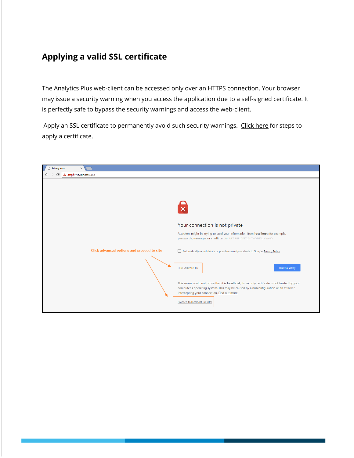## **Applying a valid SSL certificate**

The Analytics Plus web-client can be accessed only over an HTTPS connection. Your browser may issue a security warning when you access the application due to a self-signed certificate. It is perfectly safe to bypass the security warnings and access the web-client.

Apply an SSL certificate to permanently avoid such security warnings. [Click](https://deskportal.zoho.com/portal/manageengine/kb/articles/importing-wildcard-ssl-certificate-pem-format) here for steps to apply a certificate.

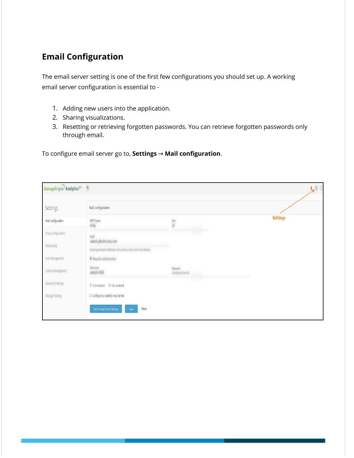# **Email Configuration**

The email server setting is one of the first few configurations you should set up. A working email server configuration is essential to -

- 1. Adding new users into the application.
- 2. Sharing visualizations.
- 3. Resetting or retrieving forgotten passwords. You can retrieve forgotten passwords only through email.

To configure email server go to, **Settings** → **Mail configuration**.

| ManageEngine Analytics <sup>plvs</sup> (1) |                                                      |           | $\mathbf{L} \otimes \mathbf{O}$ |
|--------------------------------------------|------------------------------------------------------|-----------|---------------------------------|
| Settings                                   | Mail configuration                                   |           |                                 |
| Mail configuration                         | SATP Server                                          |           | <b>Settings</b>                 |
| Prory configuration.                       |                                                      |           |                                 |
| <b>Rebranding</b>                          | and notherce who a tipo a right and on the           |           |                                 |
| User Management                            | <b># Tequino authentication</b>                      |           |                                 |
| License Management                         | terare<br>alech-0430                                 | tag poort |                                 |
| Advanced Settings                          | TLS enabled G SSL enabled                            |           |                                 |
| Manage Sharing                             | Configure a standby mail server                      |           |                                 |
|                                            | Reset<br><b>Test Primary Server Settings</b><br>Save |           |                                 |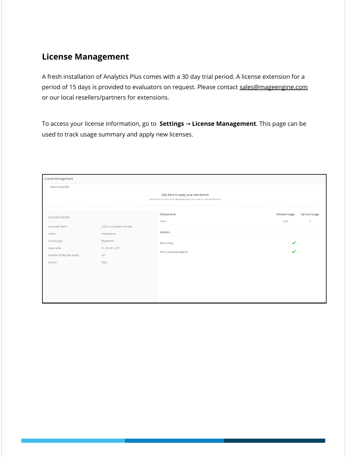## **License Management**

A fresh installation of Analytics Plus comes with a 30 day trial period. A license extension for a period of 15 days is provided to evaluators on request. Please contact sales@mageengine.com or our local resellers/partners for extensions.

To access your license information, go to **Settings** → **License Management**. This page can be used to track usage summary and apply new licenses.

| License Management                       |                                                 |                                                                                                                 |                       |                           |  |
|------------------------------------------|-------------------------------------------------|-----------------------------------------------------------------------------------------------------------------|-----------------------|---------------------------|--|
| <b>Upload License File</b>               |                                                 | Click here to apply your new license<br>License files are sent from ManageEngine via e-mail as .xml attachments |                       |                           |  |
| License Details                          |                                                 | Components<br><b>Users</b>                                                                                      | Allowed Usage<br>5000 | <b>Current Usage</b><br>3 |  |
| Customer name<br>Edition                 | <b>ZOHO Corporation Pvt Ltd</b><br>Professional | Addons                                                                                                          |                       |                           |  |
| License type                             | Registered                                      | Rebranding                                                                                                      | $\checkmark$          |                           |  |
| Expiry date<br>Number of days for expiry | Fri, Dec 01, 2017<br>377                        | Multi-Language Support                                                                                          |                       |                           |  |
| Version                                  | 3020                                            |                                                                                                                 |                       |                           |  |
|                                          |                                                 |                                                                                                                 |                       |                           |  |
|                                          |                                                 |                                                                                                                 |                       |                           |  |
|                                          |                                                 |                                                                                                                 |                       |                           |  |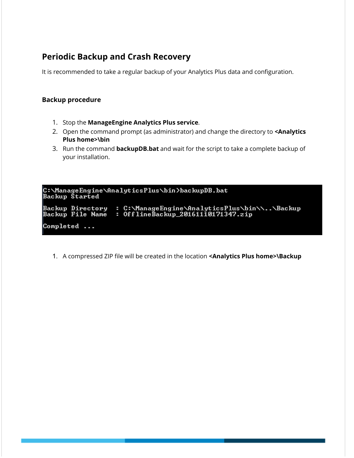## **Periodic Backup and Crash Recovery**

It is recommended to take a regular backup of your Analytics Plus data and configuration.

#### **Backup procedure**

- 1. Stop the **ManageEngine Analytics Plus service**.
- 2. Open the command prompt (as administrator) and change the directory to **<Analytics Plus home>\bin**
- 3. Run the command **backupDB.bat** and wait for the script to take a complete backup of your installation.

C:\ManageEngine\AnalyticsPlus\bin>backupDB.bat<br>Backup Started Backup Directory : C:\ManageEngine\AnalyticsPlus\bin\\..\Backup<br>Backup File Name : OfflineBackup\_20161110171347.zip Completed ...

1. A compressed ZIP file will be created in the location **<Analytics Plus home>\Backup**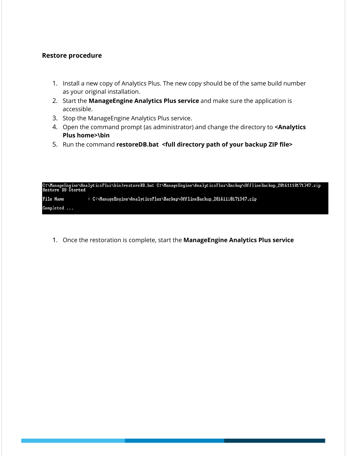#### **Restore procedure**

- 1. Install a new copy of Analytics Plus. The new copy should be of the same build number as your original installation.
- 2. Start the **ManageEngine Analytics Plus service** and make sure the application is accessible.
- 3. Stop the ManageEngine Analytics Plus service.
- 4. Open the command prompt (as administrator) and change the directory to **<Analytics Plus home>\bin**
- 5. Run the command **restoreDB.bat <full directory path of your backup ZIP file>**

C:\ManageEngine\AnalyticsPlus\bin>restoreDB.bat C:\ManageEngine\AnalyticsPlus\Backup\OfflineBackup\_20161110171347.zip<br>Restore DB Started **File Name** : C:\ManageEngine\AnalyticsPlus\Backup\OfflineBackup\_20161110171347.zip Completed ...

1. Once the restoration is complete, start the **ManageEngine Analytics Plus service**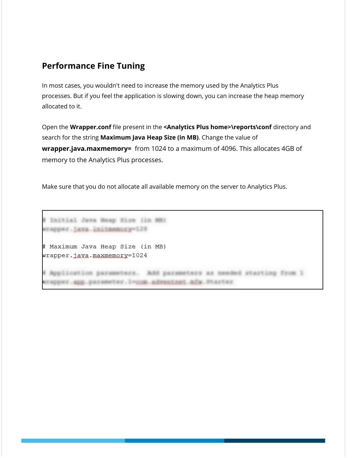## **Performance Fine Tuning**

In most cases, you wouldn't need to increase the memory used by the Analytics Plus processes. But if you feel the application is slowing down, you can increase the heap memory allocated to it.

Open the **Wrapper.conf** file present in the **<Analytics Plus home>\reports\conf** directory and search for the string **Maximum Java Heap Size (in MB)**. Change the value of **wrapper.java.maxmemory=** from 1024 to a maximum of 4096. This allocates 4GB of memory to the Analytics Plus processes.

Make sure that you do not allocate all available memory on the server to Analytics Plus.

# Initial Java Heap Size (in MB) wrapper.java.initmemory=120 # Maximum Java Heap Size (in MB) wrapper.java.maxmemory=1024 # Application parameters. Add parameters as needed starting from 1 erapper.app.parameter.l=com.advantnet.mfw.Starter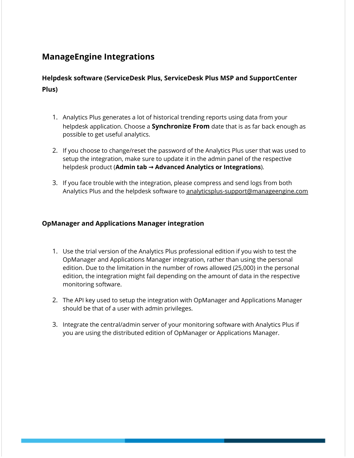## **ManageEngine Integrations**

#### **Helpdesk software (ServiceDesk Plus, ServiceDesk Plus MSP and SupportCenter Plus)**

- 1. Analytics Plus generates a lot of historical trending reports using data from your helpdesk application. Choose a **Synchronize From** date that is as far back enough as possible to get useful analytics.
- 2. If you choose to change/reset the password of the Analytics Plus user that was used to setup the integration, make sure to update it in the admin panel of the respective helpdesk product (**Admin tab → Advanced Analytics or Integrations**).
- 3. If you face trouble with the integration, please compress and send logs from both Analytics Plus and the helpdesk software to analyticsplus-support@manageengine.com

#### **OpManager and Applications Manager integration**

- 1. Use the trial version of the Analytics Plus professional edition if you wish to test the OpManager and Applications Manager integration, rather than using the personal edition. Due to the limitation in the number of rows allowed (25,000) in the personal edition, the integration might fail depending on the amount of data in the respective monitoring software.
- 2. The API key used to setup the integration with OpManager and Applications Manager should be that of a user with admin privileges.
- 3. Integrate the central/admin server of your monitoring software with Analytics Plus if you are using the distributed edition of OpManager or Applications Manager.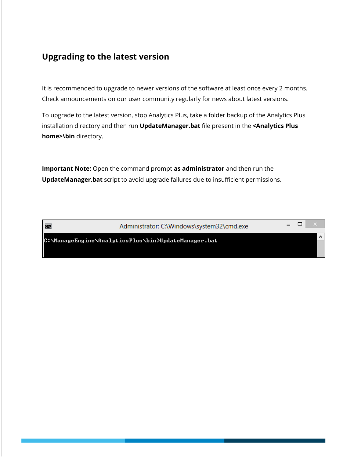## **Upgrading to the latest version**

It is recommended to upgrade to newer versions of the software at least once every 2 months. Check announcements on our user [community](https://forums.manageengine.com/analytics-plus) regularly for news about latest versions.

To upgrade to the latest version, stop Analytics Plus, take a folder backup of the Analytics Plus installation directory and then run **UpdateManager.bat** file present in the **<Analytics Plus home>\bin** directory.

**Important Note:** Open the command prompt **as administrator** and then run the **UpdateManager.bat** script to avoid upgrade failures due to insufficient permissions.

蔮

Administrator: C:\Windows\system32\cmd.exe

 $\Box$  $\overline{\phantom{0}}$ 

C:\ManageEngine\AnalyticsPlus\bin>UpdateManager.bat